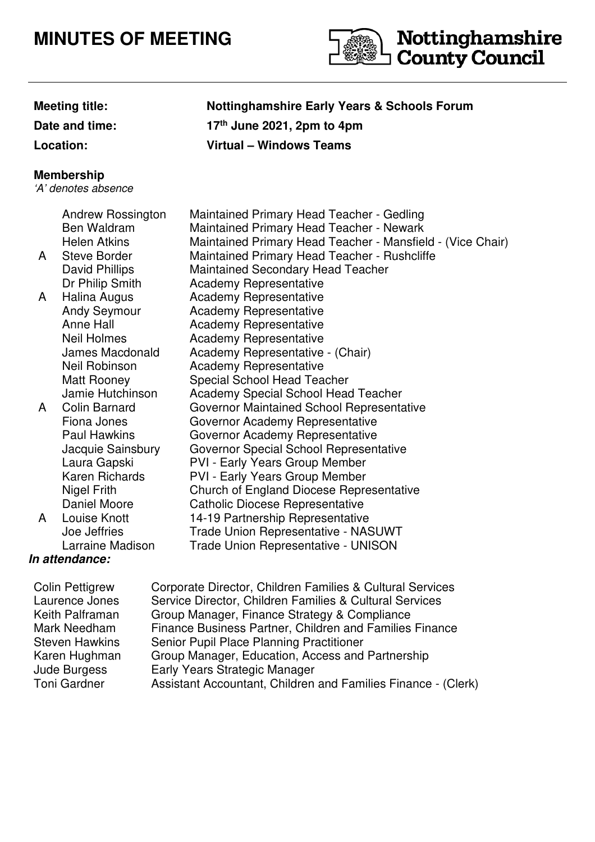## **MINUTES OF MEETING**



## **Membership**

'A' denotes absence

Andrew Rossington Maintained Primary Head Teacher - Gedling Ben Waldram Maintained Primary Head Teacher - Newark Helen Atkins Maintained Primary Head Teacher - Mansfield - (Vice Chair) A Steve Border Maintained Primary Head Teacher - Rushcliffe<br>David Phillips Maintained Secondary Head Teacher Maintained Secondary Head Teacher Dr Philip Smith Academy Representative<br>
Halina Augus Academy Representative A Halina Augus **Academy Representative** Andy Seymour Academy Representative Anne Hall **Academy Representative** Neil Holmes Academy Representative James Macdonald Academy Representative - (Chair) Neil Robinson Academy Representative Matt Rooney Special School Head Teacher Jamie Hutchinson Academy Special School Head Teacher A Colin Barnard Governor Maintained School Representative Fiona Jones Governor Academy Representative Paul Hawkins Governor Academy Representative Jacquie Sainsbury Governor Special School Representative Laura Gapski PVI - Early Years Group Member<br>Karen Richards PVI - Early Years Group Member PVI - Early Years Group Member Nigel Frith Church of England Diocese Representative Daniel Moore Catholic Diocese Representative A Louise Knott 14-19 Partnership Representative Joe Jeffries Trade Union Representative - NASUWT Larraine Madison Trade Union Representative - UNISON

## **In attendance:**

| Colin Pettigrew       | Corporate Director, Children Families & Cultural Services     |
|-----------------------|---------------------------------------------------------------|
| Laurence Jones        | Service Director, Children Families & Cultural Services       |
| Keith Palframan       | Group Manager, Finance Strategy & Compliance                  |
| Mark Needham          | Finance Business Partner, Children and Families Finance       |
| <b>Steven Hawkins</b> | Senior Pupil Place Planning Practitioner                      |
| Karen Hughman         | Group Manager, Education, Access and Partnership              |
| Jude Burgess          | Early Years Strategic Manager                                 |
| <b>Toni Gardner</b>   | Assistant Accountant, Children and Families Finance - (Clerk) |

## **Nottinghamshire Early Years & Schools Forum Date and time: 17th June 2021, 2pm to 4pm Location: Virtual – Windows Teams**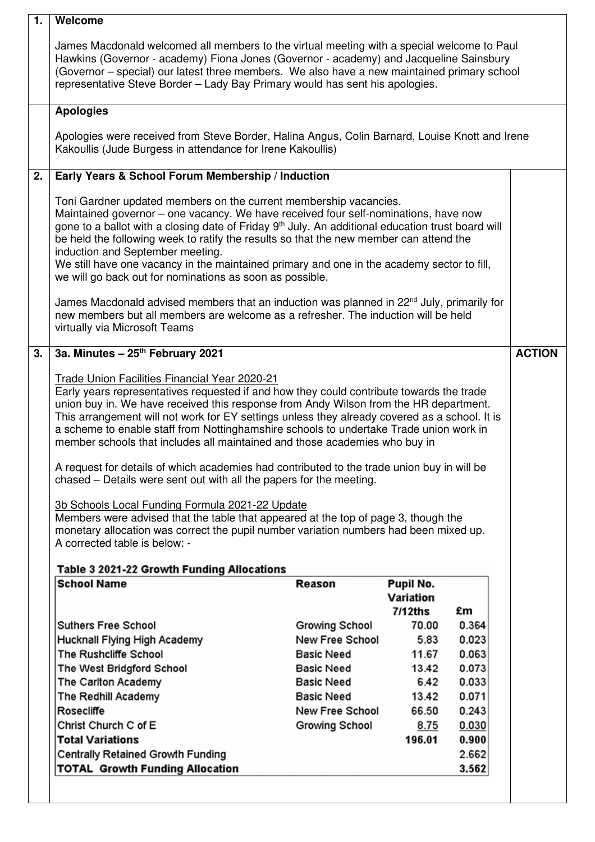| 1. | Welcome                                                                                                                                                                                                                                                                                                                                                                                                                                                                                                                                                                                                                                                                                                                                                                                                                                                                                                                                                                                                                                                  |                                                 |                      |                |               |
|----|----------------------------------------------------------------------------------------------------------------------------------------------------------------------------------------------------------------------------------------------------------------------------------------------------------------------------------------------------------------------------------------------------------------------------------------------------------------------------------------------------------------------------------------------------------------------------------------------------------------------------------------------------------------------------------------------------------------------------------------------------------------------------------------------------------------------------------------------------------------------------------------------------------------------------------------------------------------------------------------------------------------------------------------------------------|-------------------------------------------------|----------------------|----------------|---------------|
|    | James Macdonald welcomed all members to the virtual meeting with a special welcome to Paul<br>Hawkins (Governor - academy) Fiona Jones (Governor - academy) and Jacqueline Sainsbury<br>(Governor – special) our latest three members. We also have a new maintained primary school<br>representative Steve Border - Lady Bay Primary would has sent his apologies.                                                                                                                                                                                                                                                                                                                                                                                                                                                                                                                                                                                                                                                                                      |                                                 |                      |                |               |
|    | <b>Apologies</b>                                                                                                                                                                                                                                                                                                                                                                                                                                                                                                                                                                                                                                                                                                                                                                                                                                                                                                                                                                                                                                         |                                                 |                      |                |               |
|    | Apologies were received from Steve Border, Halina Angus, Colin Barnard, Louise Knott and Irene<br>Kakoullis (Jude Burgess in attendance for Irene Kakoullis)                                                                                                                                                                                                                                                                                                                                                                                                                                                                                                                                                                                                                                                                                                                                                                                                                                                                                             |                                                 |                      |                |               |
| 2. | Early Years & School Forum Membership / Induction                                                                                                                                                                                                                                                                                                                                                                                                                                                                                                                                                                                                                                                                                                                                                                                                                                                                                                                                                                                                        |                                                 |                      |                |               |
|    | Toni Gardner updated members on the current membership vacancies.<br>Maintained governor - one vacancy. We have received four self-nominations, have now<br>gone to a ballot with a closing date of Friday 9 <sup>th</sup> July. An additional education trust board will<br>be held the following week to ratify the results so that the new member can attend the<br>induction and September meeting.<br>We still have one vacancy in the maintained primary and one in the academy sector to fill,<br>we will go back out for nominations as soon as possible.<br>James Macdonald advised members that an induction was planned in 22 <sup>nd</sup> July, primarily for<br>new members but all members are welcome as a refresher. The induction will be held                                                                                                                                                                                                                                                                                         |                                                 |                      |                |               |
|    | virtually via Microsoft Teams                                                                                                                                                                                                                                                                                                                                                                                                                                                                                                                                                                                                                                                                                                                                                                                                                                                                                                                                                                                                                            |                                                 |                      |                |               |
| 3. | 3a. Minutes - 25 <sup>th</sup> February 2021<br><b>Trade Union Facilities Financial Year 2020-21</b><br>Early years representatives requested if and how they could contribute towards the trade<br>union buy in. We have received this response from Andy Wilson from the HR department.<br>This arrangement will not work for EY settings unless they already covered as a school. It is<br>a scheme to enable staff from Nottinghamshire schools to undertake Trade union work in<br>member schools that includes all maintained and those academies who buy in<br>A request for details of which academies had contributed to the trade union buy in will be<br>chased – Details were sent out with all the papers for the meeting.<br>3b Schools Local Funding Formula 2021-22 Update<br>Members were advised that the table that appeared at the top of page 3, though the<br>monetary allocation was correct the pupil number variation numbers had been mixed up.<br>A corrected table is below: -<br>Table 3 2021-22 Growth Funding Allocations |                                                 |                      |                | <b>ACTION</b> |
|    | <b>School Name</b>                                                                                                                                                                                                                                                                                                                                                                                                                                                                                                                                                                                                                                                                                                                                                                                                                                                                                                                                                                                                                                       | Reason                                          | Pupil No.            |                |               |
|    |                                                                                                                                                                                                                                                                                                                                                                                                                                                                                                                                                                                                                                                                                                                                                                                                                                                                                                                                                                                                                                                          |                                                 | Variation<br>7/12ths | £m             |               |
|    | <b>Suthers Free School</b>                                                                                                                                                                                                                                                                                                                                                                                                                                                                                                                                                                                                                                                                                                                                                                                                                                                                                                                                                                                                                               | <b>Growing School</b><br><b>New Free School</b> | 70.00<br>5.83        | 0.364<br>0.023 |               |
|    | Hucknall Flying High Academy<br>The Rushcliffe School                                                                                                                                                                                                                                                                                                                                                                                                                                                                                                                                                                                                                                                                                                                                                                                                                                                                                                                                                                                                    | <b>Basic Need</b>                               | 11.67                | 0.063          |               |
|    | The West Bridgford School                                                                                                                                                                                                                                                                                                                                                                                                                                                                                                                                                                                                                                                                                                                                                                                                                                                                                                                                                                                                                                | <b>Basic Need</b>                               | 13.42                | 0.073          |               |
|    | The Carlton Academy                                                                                                                                                                                                                                                                                                                                                                                                                                                                                                                                                                                                                                                                                                                                                                                                                                                                                                                                                                                                                                      | <b>Basic Need</b>                               | 6.42                 | 0.033          |               |
|    | The Redhill Academy                                                                                                                                                                                                                                                                                                                                                                                                                                                                                                                                                                                                                                                                                                                                                                                                                                                                                                                                                                                                                                      | <b>Basic Need</b>                               | 13.42                | 0.071          |               |
|    | Rosecliffe                                                                                                                                                                                                                                                                                                                                                                                                                                                                                                                                                                                                                                                                                                                                                                                                                                                                                                                                                                                                                                               | New Free School                                 | 66.50                | 0.243          |               |
|    | Christ Church C of E                                                                                                                                                                                                                                                                                                                                                                                                                                                                                                                                                                                                                                                                                                                                                                                                                                                                                                                                                                                                                                     | <b>Growing School</b>                           | 8.75                 | 0.030          |               |
|    | <b>Total Variations</b>                                                                                                                                                                                                                                                                                                                                                                                                                                                                                                                                                                                                                                                                                                                                                                                                                                                                                                                                                                                                                                  |                                                 | 196.01               | 0.900          |               |
|    |                                                                                                                                                                                                                                                                                                                                                                                                                                                                                                                                                                                                                                                                                                                                                                                                                                                                                                                                                                                                                                                          |                                                 |                      | 2.662          |               |
|    | <b>Centrally Retained Growth Funding</b><br><b>TOTAL Growth Funding Allocation</b>                                                                                                                                                                                                                                                                                                                                                                                                                                                                                                                                                                                                                                                                                                                                                                                                                                                                                                                                                                       |                                                 |                      | 3.562          |               |
|    |                                                                                                                                                                                                                                                                                                                                                                                                                                                                                                                                                                                                                                                                                                                                                                                                                                                                                                                                                                                                                                                          |                                                 |                      |                |               |
|    |                                                                                                                                                                                                                                                                                                                                                                                                                                                                                                                                                                                                                                                                                                                                                                                                                                                                                                                                                                                                                                                          |                                                 |                      |                |               |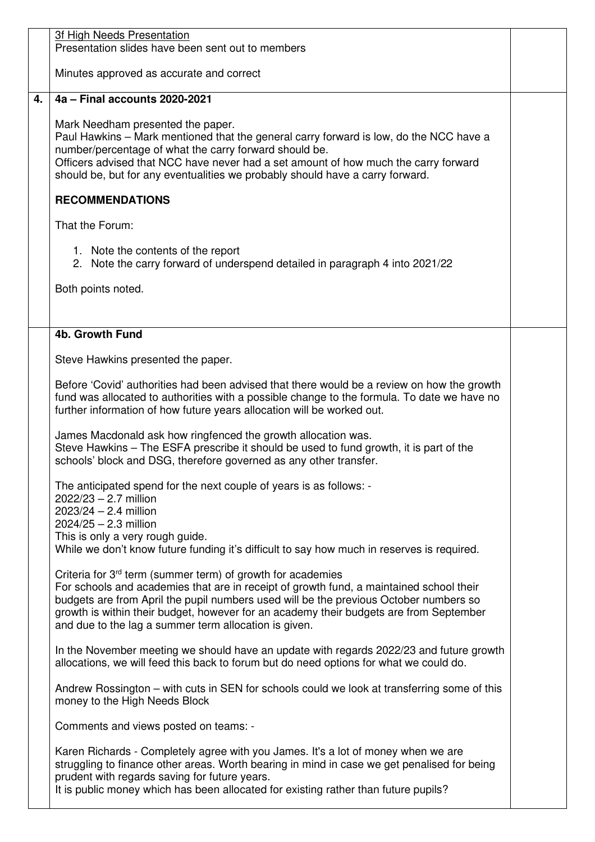|                  | 3f High Needs Presentation<br>Presentation slides have been sent out to members                                                                                                                                                                                                                                                                                                                                |  |
|------------------|----------------------------------------------------------------------------------------------------------------------------------------------------------------------------------------------------------------------------------------------------------------------------------------------------------------------------------------------------------------------------------------------------------------|--|
|                  | Minutes approved as accurate and correct                                                                                                                                                                                                                                                                                                                                                                       |  |
| $\overline{4}$ . | 4a - Final accounts 2020-2021                                                                                                                                                                                                                                                                                                                                                                                  |  |
|                  | Mark Needham presented the paper.<br>Paul Hawkins - Mark mentioned that the general carry forward is low, do the NCC have a<br>number/percentage of what the carry forward should be.<br>Officers advised that NCC have never had a set amount of how much the carry forward<br>should be, but for any eventualities we probably should have a carry forward.                                                  |  |
|                  | <b>RECOMMENDATIONS</b>                                                                                                                                                                                                                                                                                                                                                                                         |  |
|                  | That the Forum:                                                                                                                                                                                                                                                                                                                                                                                                |  |
|                  | 1. Note the contents of the report<br>2. Note the carry forward of underspend detailed in paragraph 4 into 2021/22                                                                                                                                                                                                                                                                                             |  |
|                  | Both points noted.                                                                                                                                                                                                                                                                                                                                                                                             |  |
|                  | <b>4b. Growth Fund</b>                                                                                                                                                                                                                                                                                                                                                                                         |  |
|                  | Steve Hawkins presented the paper.                                                                                                                                                                                                                                                                                                                                                                             |  |
|                  |                                                                                                                                                                                                                                                                                                                                                                                                                |  |
|                  | Before 'Covid' authorities had been advised that there would be a review on how the growth<br>fund was allocated to authorities with a possible change to the formula. To date we have no<br>further information of how future years allocation will be worked out.                                                                                                                                            |  |
|                  | James Macdonald ask how ringfenced the growth allocation was.<br>Steve Hawkins – The ESFA prescribe it should be used to fund growth, it is part of the<br>schools' block and DSG, therefore governed as any other transfer.                                                                                                                                                                                   |  |
|                  | The anticipated spend for the next couple of years is as follows: -<br>$2022/23 - 2.7$ million<br>$2023/24 - 2.4$ million<br>$2024/25 - 2.3$ million<br>This is only a very rough guide.                                                                                                                                                                                                                       |  |
|                  | While we don't know future funding it's difficult to say how much in reserves is required.                                                                                                                                                                                                                                                                                                                     |  |
|                  | Criteria for 3 <sup>rd</sup> term (summer term) of growth for academies<br>For schools and academies that are in receipt of growth fund, a maintained school their<br>budgets are from April the pupil numbers used will be the previous October numbers so<br>growth is within their budget, however for an academy their budgets are from September<br>and due to the lag a summer term allocation is given. |  |
|                  | In the November meeting we should have an update with regards 2022/23 and future growth<br>allocations, we will feed this back to forum but do need options for what we could do.                                                                                                                                                                                                                              |  |
|                  | Andrew Rossington – with cuts in SEN for schools could we look at transferring some of this<br>money to the High Needs Block                                                                                                                                                                                                                                                                                   |  |
|                  | Comments and views posted on teams: -                                                                                                                                                                                                                                                                                                                                                                          |  |
|                  | Karen Richards - Completely agree with you James. It's a lot of money when we are<br>struggling to finance other areas. Worth bearing in mind in case we get penalised for being<br>prudent with regards saving for future years.<br>It is public money which has been allocated for existing rather than future pupils?                                                                                       |  |
|                  |                                                                                                                                                                                                                                                                                                                                                                                                                |  |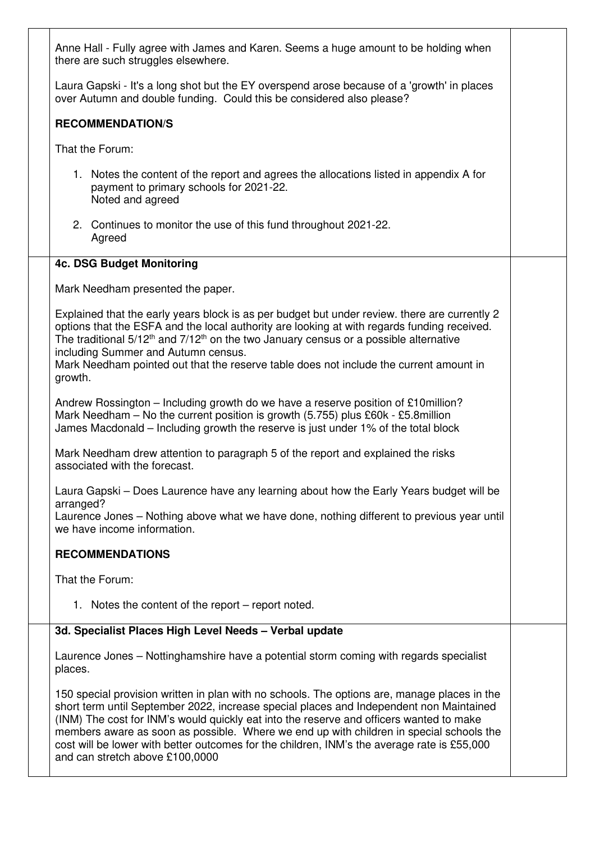| Anne Hall - Fully agree with James and Karen. Seems a huge amount to be holding when<br>there are such struggles elsewhere.                                                                                                                                                                                                                                                                                                                                                                                     |  |
|-----------------------------------------------------------------------------------------------------------------------------------------------------------------------------------------------------------------------------------------------------------------------------------------------------------------------------------------------------------------------------------------------------------------------------------------------------------------------------------------------------------------|--|
| Laura Gapski - It's a long shot but the EY overspend arose because of a 'growth' in places<br>over Autumn and double funding. Could this be considered also please?                                                                                                                                                                                                                                                                                                                                             |  |
| <b>RECOMMENDATION/S</b>                                                                                                                                                                                                                                                                                                                                                                                                                                                                                         |  |
| That the Forum:                                                                                                                                                                                                                                                                                                                                                                                                                                                                                                 |  |
| 1. Notes the content of the report and agrees the allocations listed in appendix A for<br>payment to primary schools for 2021-22.<br>Noted and agreed                                                                                                                                                                                                                                                                                                                                                           |  |
| 2. Continues to monitor the use of this fund throughout 2021-22.<br>Agreed                                                                                                                                                                                                                                                                                                                                                                                                                                      |  |
| <b>4c. DSG Budget Monitoring</b>                                                                                                                                                                                                                                                                                                                                                                                                                                                                                |  |
| Mark Needham presented the paper.                                                                                                                                                                                                                                                                                                                                                                                                                                                                               |  |
| Explained that the early years block is as per budget but under review. there are currently 2<br>options that the ESFA and the local authority are looking at with regards funding received.<br>The traditional 5/12 <sup>th</sup> and 7/12 <sup>th</sup> on the two January census or a possible alternative<br>including Summer and Autumn census.<br>Mark Needham pointed out that the reserve table does not include the current amount in<br>growth.                                                       |  |
| Andrew Rossington – Including growth do we have a reserve position of £10million?<br>Mark Needham - No the current position is growth (5.755) plus £60k - £5.8million<br>James Macdonald – Including growth the reserve is just under 1% of the total block                                                                                                                                                                                                                                                     |  |
| Mark Needham drew attention to paragraph 5 of the report and explained the risks<br>associated with the forecast.                                                                                                                                                                                                                                                                                                                                                                                               |  |
| Laura Gapski – Does Laurence have any learning about how the Early Years budget will be<br>arranged?<br>Laurence Jones - Nothing above what we have done, nothing different to previous year until<br>we have income information.                                                                                                                                                                                                                                                                               |  |
| <b>RECOMMENDATIONS</b>                                                                                                                                                                                                                                                                                                                                                                                                                                                                                          |  |
| That the Forum:                                                                                                                                                                                                                                                                                                                                                                                                                                                                                                 |  |
| 1. Notes the content of the report – report noted.                                                                                                                                                                                                                                                                                                                                                                                                                                                              |  |
| 3d. Specialist Places High Level Needs - Verbal update                                                                                                                                                                                                                                                                                                                                                                                                                                                          |  |
| Laurence Jones – Nottinghamshire have a potential storm coming with regards specialist<br>places.                                                                                                                                                                                                                                                                                                                                                                                                               |  |
| 150 special provision written in plan with no schools. The options are, manage places in the<br>short term until September 2022, increase special places and Independent non Maintained<br>(INM) The cost for INM's would quickly eat into the reserve and officers wanted to make<br>members aware as soon as possible. Where we end up with children in special schools the<br>cost will be lower with better outcomes for the children, INM's the average rate is £55,000<br>and can stretch above £100,0000 |  |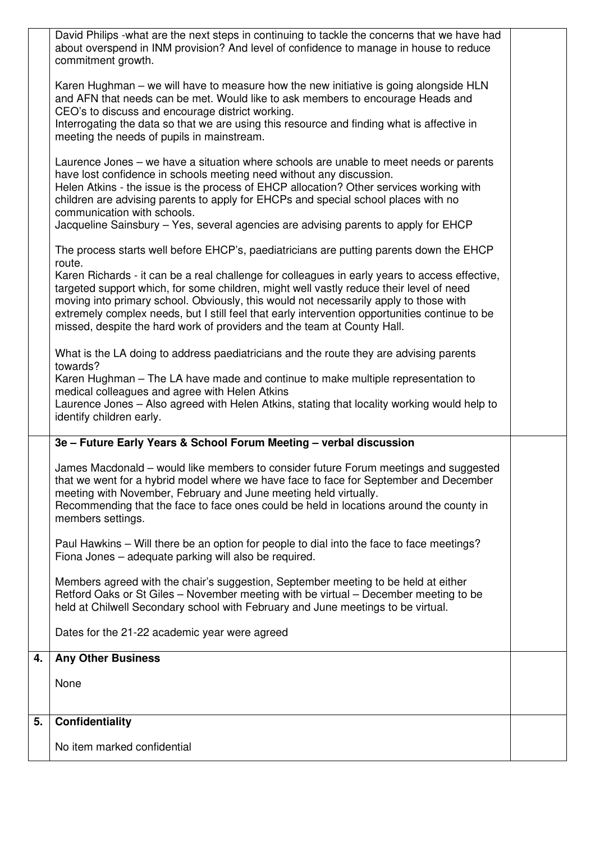|    | David Philips - what are the next steps in continuing to tackle the concerns that we have had<br>about overspend in INM provision? And level of confidence to manage in house to reduce<br>commitment growth.                                                                                                                                                                                                                                                                                                                                                        |  |
|----|----------------------------------------------------------------------------------------------------------------------------------------------------------------------------------------------------------------------------------------------------------------------------------------------------------------------------------------------------------------------------------------------------------------------------------------------------------------------------------------------------------------------------------------------------------------------|--|
|    | Karen Hughman – we will have to measure how the new initiative is going alongside HLN<br>and AFN that needs can be met. Would like to ask members to encourage Heads and<br>CEO's to discuss and encourage district working.<br>Interrogating the data so that we are using this resource and finding what is affective in<br>meeting the needs of pupils in mainstream.                                                                                                                                                                                             |  |
|    | Laurence Jones – we have a situation where schools are unable to meet needs or parents<br>have lost confidence in schools meeting need without any discussion.<br>Helen Atkins - the issue is the process of EHCP allocation? Other services working with<br>children are advising parents to apply for EHCPs and special school places with no<br>communication with schools.<br>Jacqueline Sainsbury – Yes, several agencies are advising parents to apply for EHCP                                                                                                |  |
|    | The process starts well before EHCP's, paediatricians are putting parents down the EHCP<br>route.<br>Karen Richards - it can be a real challenge for colleagues in early years to access effective,<br>targeted support which, for some children, might well vastly reduce their level of need<br>moving into primary school. Obviously, this would not necessarily apply to those with<br>extremely complex needs, but I still feel that early intervention opportunities continue to be<br>missed, despite the hard work of providers and the team at County Hall. |  |
|    | What is the LA doing to address paediatricians and the route they are advising parents<br>towards?<br>Karen Hughman – The LA have made and continue to make multiple representation to<br>medical colleagues and agree with Helen Atkins<br>Laurence Jones - Also agreed with Helen Atkins, stating that locality working would help to<br>identify children early.                                                                                                                                                                                                  |  |
|    | 3e - Future Early Years & School Forum Meeting - verbal discussion                                                                                                                                                                                                                                                                                                                                                                                                                                                                                                   |  |
|    | James Macdonald – would like members to consider future Forum meetings and suggested<br>that we went for a hybrid model where we have face to face for September and December<br>meeting with November, February and June meeting held virtually.<br>Recommending that the face to face ones could be held in locations around the county in<br>members settings.                                                                                                                                                                                                    |  |
|    | Paul Hawkins – Will there be an option for people to dial into the face to face meetings?<br>Fiona Jones – adequate parking will also be required.                                                                                                                                                                                                                                                                                                                                                                                                                   |  |
|    |                                                                                                                                                                                                                                                                                                                                                                                                                                                                                                                                                                      |  |
|    | Members agreed with the chair's suggestion, September meeting to be held at either<br>Retford Oaks or St Giles - November meeting with be virtual - December meeting to be<br>held at Chilwell Secondary school with February and June meetings to be virtual.                                                                                                                                                                                                                                                                                                       |  |
|    | Dates for the 21-22 academic year were agreed                                                                                                                                                                                                                                                                                                                                                                                                                                                                                                                        |  |
|    | <b>Any Other Business</b>                                                                                                                                                                                                                                                                                                                                                                                                                                                                                                                                            |  |
| 4. | None                                                                                                                                                                                                                                                                                                                                                                                                                                                                                                                                                                 |  |
| 5. | Confidentiality                                                                                                                                                                                                                                                                                                                                                                                                                                                                                                                                                      |  |